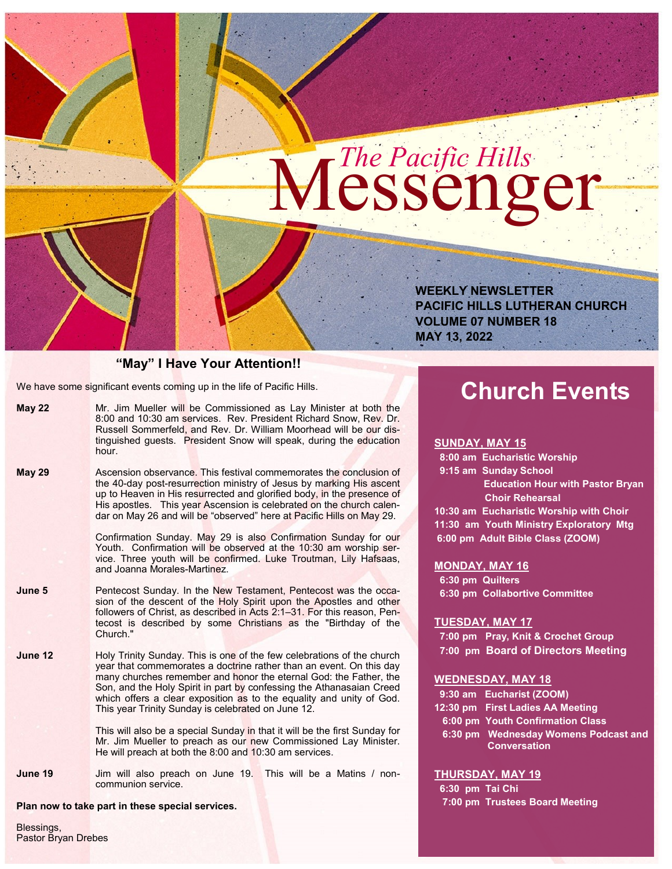# $M<sup>The Pacific Hills</sup>$

**WEEKLY NEWSLETTER PACIFIC HILLS LUTHERAN CHURCH VOLUME 07 NUMBER 18 MAY 13, 2022**

#### **"May" I Have Your Attention!!**

We have some significant events coming up in the life of Pacific Hills.

| <b>May 22</b> | Mr. Jim Mueller will be Commissioned as Lay Minister at both the   |
|---------------|--------------------------------------------------------------------|
|               | 8:00 and 10:30 am services. Rev. President Richard Snow. Rev. Dr.  |
|               | Russell Sommerfeld, and Rev. Dr. William Moorhead will be our dis- |
|               | tinguished quests. President Snow will speak, during the education |
|               | hour.                                                              |

**May 29** Ascension observance. This festival commemorates the conclusion of the 40-day post-resurrection ministry of Jesus by marking His ascent up to Heaven in His resurrected and glorified body, in the presence of His apostles. This year Ascension is celebrated on the church calendar on May 26 and will be "observed" here at Pacific Hills on May 29.

> Confirmation Sunday. May 29 is also Confirmation Sunday for our Youth. Confirmation will be observed at the 10:30 am worship service. Three youth will be confirmed. Luke Troutman, Lily Hafsaas, and Joanna Morales-Martinez.

- **June 5** Pentecost Sunday. In the New Testament, Pentecost was the occasion of the descent of the Holy Spirit upon the Apostles and other followers of Christ, as described in Acts 2:1–31. For this reason, Pentecost is described by some Christians as the "Birthday of the Church."
- **June 12** Holy Trinity Sunday. This is one of the few celebrations of the church year that commemorates a doctrine rather than an event. On this day many churches remember and honor the eternal God: the Father, the Son, and the Holy Spirit in part by confessing the Athanasaian Creed which offers a clear exposition as to the equality and unity of God. This year Trinity Sunday is celebrated on June 12.

This will also be a special Sunday in that it will be the first Sunday for Mr. Jim Mueller to preach as our new Commissioned Lay Minister. He will preach at both the 8:00 and 10:30 am services.

**June 19** Jim will also preach on June 19. This will be a Matins / noncommunion service.

**Plan now to take part in these special services.** 

Blessings, Pastor Bryan Drebes

# **Church Events**

#### **SUNDAY, MAY 15**

 **8:00 am Eucharistic Worship 9:15 am Sunday School**

> **Education Hour with Pastor Bryan Choir Rehearsal**

**10:30 am Eucharistic Worship with Choir 11:30 am Youth Ministry Exploratory Mtg 6:00 pm Adult Bible Class (ZOOM)**

#### **MONDAY, MAY 16**

 **6:30 pm Quilters 6:30 pm Collabortive Committee**

#### **TUESDAY, MAY 17**

 **7:00 pm Pray, Knit & Crochet Group 7:00 pm Board of Directors Meeting**

#### **WEDNESDAY, MAY 18**

| 9:30 am Eucharist (ZOOM)             |
|--------------------------------------|
| 12:30 pm First Ladies AA Meeting     |
| 6:00 pm Youth Confirmation Class     |
| 6:30 pm Wednesday Womens Podcast and |
| <b>Conversation</b>                  |

#### **THURSDAY, MAY 19**

 **6:30 pm Tai Chi 7:00 pm Trustees Board Meeting**